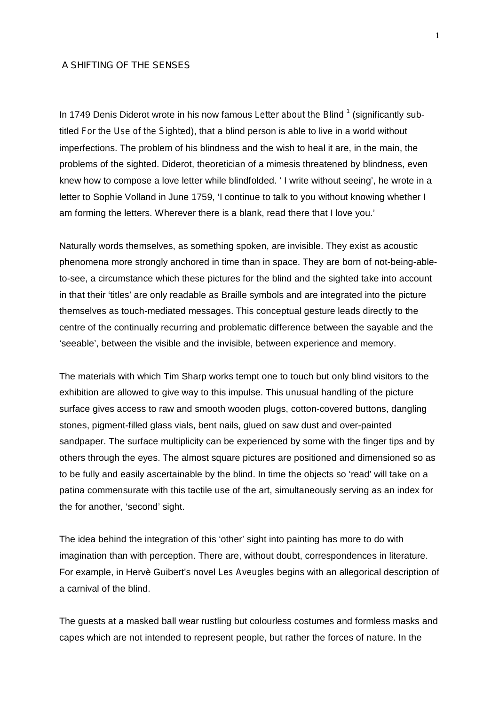## A SHIFTING OF THE SENSES

In 1749 Denis Diderot wrote in his now famous *Letter about the Blind*<sup>1</sup> (significantly subtitled *For the Use of the Sighted*), that a blind person is able to live in a world without imperfections. The problem of his blindness and the wish to heal it are, in the main, the problems of the sighted. Diderot, theoretician of a mimesis threatened by blindness, even knew how to compose a love letter while blindfolded. ' I write without seeing', he wrote in a letter to Sophie Volland in June 1759, 'I continue to talk to you without knowing whether I am forming the letters. Wherever there is a blank, read there that I love you.'

Naturally words themselves, as something spoken, are invisible. They exist as acoustic phenomena more strongly anchored in time than in space. They are born of not-being-ableto-see, a circumstance which these pictures for the blind and the sighted take into account in that their 'titles' are only readable as Braille symbols and are integrated into the picture themselves as touch-mediated messages. This conceptual gesture leads directly to the centre of the continually recurring and problematic difference between the sayable and the 'seeable', between the visible and the invisible, between experience and memory.

The materials with which Tim Sharp works tempt one to touch but only blind visitors to the exhibition are allowed to give way to this impulse. This unusual handling of the picture surface gives access to raw and smooth wooden plugs, cotton-covered buttons, dangling stones, pigment-filled glass vials, bent nails, glued on saw dust and over-painted sandpaper. The surface multiplicity can be experienced by some with the finger tips and by others through the eyes. The almost square pictures are positioned and dimensioned so as to be fully and easily ascertainable by the blind. In time the objects so 'read' will take on a patina commensurate with this tactile use of the art, simultaneously serving as an index for the for another, 'second' sight.

The idea behind the integration of this 'other' sight into painting has more to do with imagination than with perception. There are, without doubt, correspondences in literature. For example, in Hervè Guibert's novel *Les Aveugles* begins with an allegorical description of a carnival of the blind.

The guests at a masked ball wear rustling but colourless costumes and formless masks and capes which are not intended to represent people, but rather the forces of nature. In the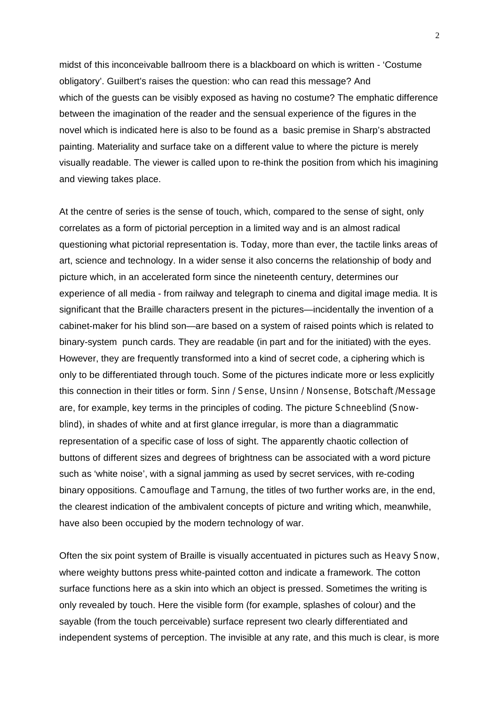midst of this inconceivable ballroom there is a blackboard on which is written - 'Costume obligatory'. Guilbert's raises the question: who can read this message? And which of the guests can be visibly exposed as having no costume? The emphatic difference between the imagination of the reader and the sensual experience of the figures in the novel which is indicated here is also to be found as a basic premise in Sharp's abstracted painting. Materiality and surface take on a different value to where the picture is merely visually readable. The viewer is called upon to re-think the position from which his imagining and viewing takes place.

At the centre of series is the sense of touch, which, compared to the sense of sight, only correlates as a form of pictorial perception in a limited way and is an almost radical questioning what pictorial representation is. Today, more than ever, the tactile links areas of art, science and technology. In a wider sense it also concerns the relationship of body and picture which, in an accelerated form since the nineteenth century, determines our experience of all media - from railway and telegraph to cinema and digital image media. It is significant that the Braille characters present in the pictures—incidentally the invention of a cabinet-maker for his blind son—are based on a system of raised points which is related to binary-system punch cards. They are readable (in part and for the initiated) with the eyes. However, they are frequently transformed into a kind of secret code, a ciphering which is only to be differentiated through touch. Some of the pictures indicate more or less explicitly this connection in their titles or form. *Sinn / Sense*, *Unsinn / Nonsense*, *Botschaft /Message* are, for example, key terms in the principles of coding. The picture *Schneeblind* (*Snowblind*), in shades of white and at first glance irregular, is more than a diagrammatic representation of a specific case of loss of sight. The apparently chaotic collection of buttons of different sizes and degrees of brightness can be associated with a word picture such as 'white noise', with a signal jamming as used by secret services, with re-coding binary oppositions. *Camouflage* and *Tarnung*, the titles of two further works are, in the end, the clearest indication of the ambivalent concepts of picture and writing which, meanwhile, have also been occupied by the modern technology of war.

Often the six point system of Braille is visually accentuated in pictures such as *Heavy Snow*, where weighty buttons press white-painted cotton and indicate a framework. The cotton surface functions here as a skin into which an object is pressed. Sometimes the writing is only revealed by touch. Here the visible form (for example, splashes of colour) and the sayable (from the touch perceivable) surface represent two clearly differentiated and independent systems of perception. The invisible at any rate, and this much is clear, is more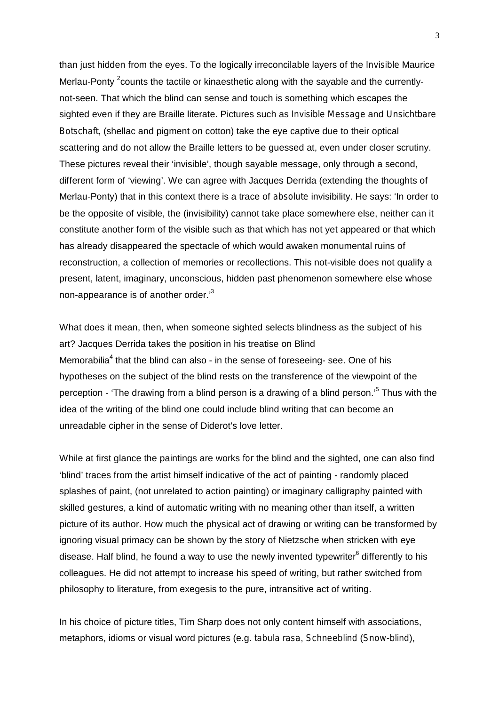than just hidden from the eyes. To the logically irreconcilable layers of the *Invisible* Maurice Merlau-Ponty <sup>2</sup>counts the tactile or kinaesthetic along with the sayable and the currentlynot-seen. That which the blind can sense and touch is something which escapes the sighted even if they are Braille literate. Pictures such as *Invisible Message* and *Unsichtbare Botschaft*, (shellac and pigment on cotton) take the eye captive due to their optical scattering and do not allow the Braille letters to be guessed at, even under closer scrutiny. These pictures reveal their 'invisible', though sayable message, only through a second, different form of 'viewing'. We can agree with Jacques Derrida (extending the thoughts of Merlau-Ponty) that in this context there is a trace of *absolute* invisibility. He says: 'In order to be the opposite of visible, the (invisibility) cannot take place somewhere else, neither can it constitute another form of the visible such as that which has not yet appeared or that which has already disappeared the spectacle of which would awaken monumental ruins of reconstruction, a collection of memories or recollections. This not-visible does not qualify a present, latent, imaginary, unconscious, hidden past phenomenon somewhere else whose non-appearance is of another order.'3

What does it mean, then, when someone sighted selects blindness as the subject of his art? Jacques Derrida takes the position in his treatise on Blind Memorabilia<sup>4</sup> that the blind can also - in the sense of foreseeing- see. One of his hypotheses on the subject of the blind rests on the transference of the viewpoint of the perception - 'The drawing *from* a blind person is a drawing *of* a blind person.'<sup>5</sup> Thus with the idea of the writing of the blind one could include blind writing that can become an unreadable cipher in the sense of Diderot's love letter.

While at first glance the paintings are works *for* the blind and the sighted, one can also find 'blind' traces from the artist himself indicative of the act of painting - randomly placed splashes of paint, (not unrelated to action painting) or imaginary calligraphy painted with skilled gestures, a kind of automatic writing with no meaning other than itself, a written picture of its author. How much the physical act of drawing or writing can be transformed by ignoring visual primacy can be shown by the story of Nietzsche when stricken with eye disease. Half blind, he found a way to use the newly invented typewriter<sup>6</sup> differently to his colleagues. He did not attempt to increase his speed of writing, but rather switched from philosophy to literature, from exegesis to the pure, intransitive act of writing.

In his choice of picture titles, Tim Sharp does not only content himself with associations, metaphors, idioms or visual word pictures (e.g. *tabula rasa*, *Schneeblind* (*Snow-blind*),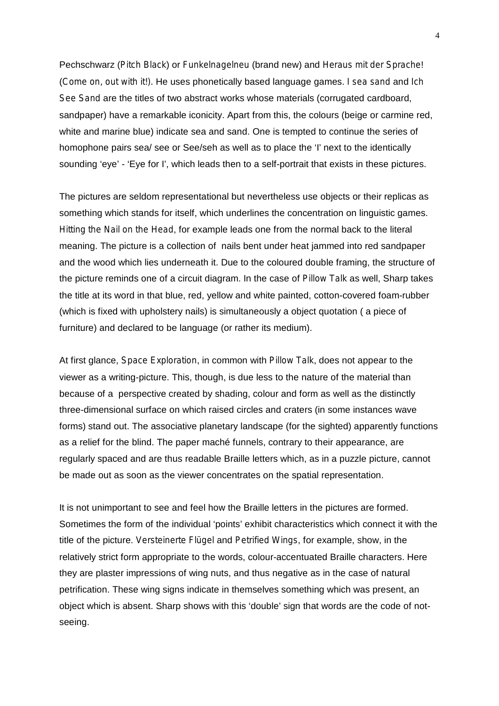Pechschwarz (*Pitch Black*) or *Funkelnagelneu* (brand new) and *Heraus mit der Sprache*! (*Come on, out with it!).* He uses phonetically based language games. *I sea sand* and *Ich See Sand* are the titles of two abstract works whose materials (corrugated cardboard, sandpaper) have a remarkable iconicity. Apart from this, the colours (beige or carmine red, white and marine blue) indicate sea and sand. One is tempted to continue the series of homophone pairs sea/ see or See/seh as well as to place the 'I' next to the identically sounding 'eye' - 'Eye for I', which leads then to a self-portrait that exists in these pictures.

The pictures are seldom representational but nevertheless use objects or their replicas as something which stands for itself, which underlines the concentration on linguistic games. *Hitting the Nail on the Head*, for example leads one from the normal back to the literal meaning. The picture is a collection of nails bent under heat jammed into red sandpaper and the wood which lies underneath it. Due to the coloured double framing, the structure of the picture reminds one of a circuit diagram. In the case of *Pillow Talk* as well, Sharp takes the title at its word in that blue, red, yellow and white painted, cotton-covered foam-rubber (which is fixed with upholstery nails) is simultaneously a object quotation ( a piece of furniture) and declared to be language (or rather its medium).

At first glance, *Space Exploration*, in common with *Pillow Talk*, does not appear to the viewer as a writing-picture. This, though, is due less to the nature of the material than because of a perspective created by shading, colour and form as well as the distinctly three-dimensional surface on which raised circles and craters (in some instances wave forms) stand out. The associative planetary landscape (for the sighted) apparently functions as a relief for the blind. The paper maché funnels, contrary to their appearance, are regularly spaced and are thus readable Braille letters which, as in a puzzle picture, cannot be made out as soon as the viewer concentrates on the spatial representation.

It is not unimportant to see and feel how the Braille letters in the pictures are formed. Sometimes the form of the individual 'points' exhibit characteristics which connect it with the title of the picture. *Versteinerte Flügel* and *Petrified Wings*, for example, show, in the relatively strict form appropriate to the words, colour-accentuated Braille characters. Here they are plaster impressions of wing nuts, and thus negative as in the case of natural petrification. These wing signs indicate in themselves something which was present, an object which is absent. Sharp shows with this 'double' sign that words are the code of notseeing.